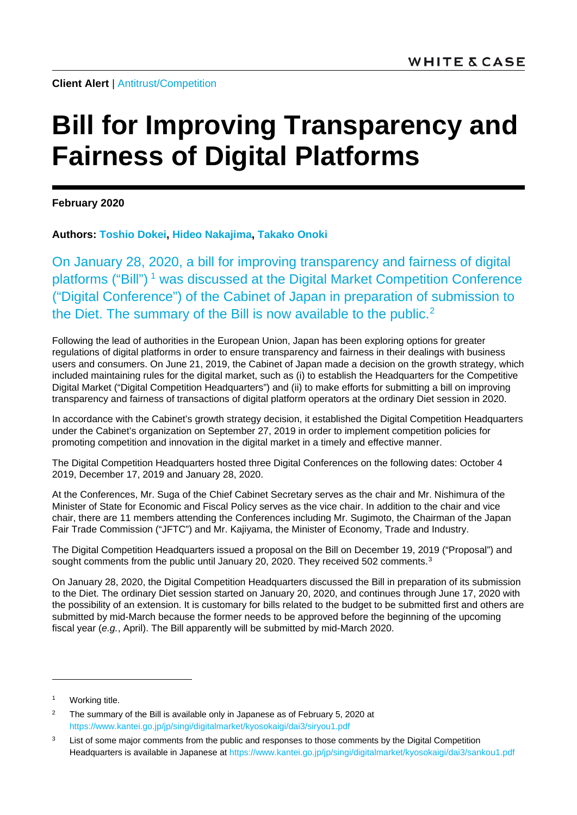**Client Alert** | [Antitrust/Competition](https://www.whitecase.com/law/practices/antitrust-competition)

# **Bill for Improving Transparency and Fairness of Digital Platforms**

**February 2020**

**Authors: [Toshio Dokei,](https://www.whitecase.com/people/toshio-dokei) [Hideo Nakajima,](https://www.whitecase.com/people/hideo-nakajima) [Takako Onoki](https://www.whitecase.com/people/takako-onoki)**

On January 28, 2020, a bill for improving transparency and fairness of digital platforms ("Bill")<sup>[1](#page-0-0)</sup> was discussed at the Digital Market Competition Conference ("Digital Conference") of the Cabinet of Japan in preparation of submission to the Diet. The summary of the Bill is now available to the public.<sup>[2](#page-0-1)</sup>

Following the lead of authorities in the European Union, Japan has been exploring options for greater regulations of digital platforms in order to ensure transparency and fairness in their dealings with business users and consumers. On June 21, 2019, the Cabinet of Japan made a decision on the growth strategy, which included maintaining rules for the digital market, such as (i) to establish the Headquarters for the Competitive Digital Market ("Digital Competition Headquarters") and (ii) to make efforts for submitting a bill on improving transparency and fairness of transactions of digital platform operators at the ordinary Diet session in 2020.

In accordance with the Cabinet's growth strategy decision, it established the Digital Competition Headquarters under the Cabinet's organization on September 27, 2019 in order to implement competition policies for promoting competition and innovation in the digital market in a timely and effective manner.

The Digital Competition Headquarters hosted three Digital Conferences on the following dates: October 4 2019, December 17, 2019 and January 28, 2020.

At the Conferences, Mr. Suga of the Chief Cabinet Secretary serves as the chair and Mr. Nishimura of the Minister of State for Economic and Fiscal Policy serves as the vice chair. In addition to the chair and vice chair, there are 11 members attending the Conferences including Mr. Sugimoto, the Chairman of the Japan Fair Trade Commission ("JFTC") and Mr. Kajiyama, the Minister of Economy, Trade and Industry.

The Digital Competition Headquarters issued a proposal on the Bill on December 19, 2019 ("Proposal") and sought comments from the public until January 20, 2020. They received 502 comments.<sup>[3](#page-0-2)</sup>

On January 28, 2020, the Digital Competition Headquarters discussed the Bill in preparation of its submission to the Diet. The ordinary Diet session started on January 20, 2020, and continues through June 17, 2020 with the possibility of an extension. It is customary for bills related to the budget to be submitted first and others are submitted by mid-March because the former needs to be approved before the beginning of the upcoming fiscal year (*e.g.*, April). The Bill apparently will be submitted by mid-March 2020.

-

<span id="page-0-0"></span>Working title.

<span id="page-0-1"></span><sup>&</sup>lt;sup>2</sup> The summary of the Bill is available only in Japanese as of February 5, 2020 at <https://www.kantei.go.jp/jp/singi/digitalmarket/kyosokaigi/dai3/siryou1.pdf>

<span id="page-0-2"></span><sup>&</sup>lt;sup>3</sup> List of some major comments from the public and responses to those comments by the Digital Competition Headquarters is available in Japanese at<https://www.kantei.go.jp/jp/singi/digitalmarket/kyosokaigi/dai3/sankou1.pdf>